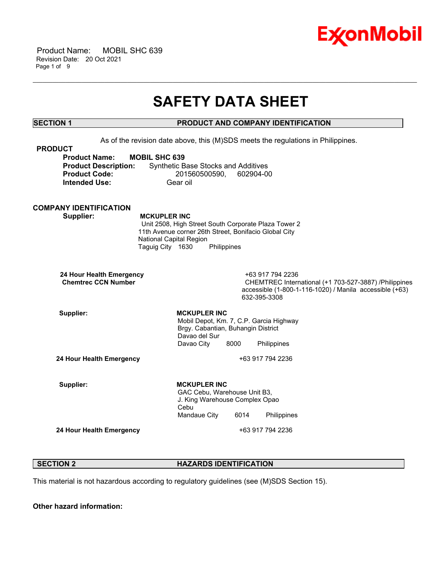

 Product Name: MOBIL SHC 639 Revision Date: 20 Oct 2021 Page 1 of 9

# **SAFETY DATA SHEET**

\_\_\_\_\_\_\_\_\_\_\_\_\_\_\_\_\_\_\_\_\_\_\_\_\_\_\_\_\_\_\_\_\_\_\_\_\_\_\_\_\_\_\_\_\_\_\_\_\_\_\_\_\_\_\_\_\_\_\_\_\_\_\_\_\_\_\_\_\_\_\_\_\_\_\_\_\_\_\_\_\_\_\_\_\_\_\_\_\_\_\_\_\_\_\_\_\_\_\_\_\_\_\_\_\_\_\_\_\_\_\_\_\_\_\_\_\_\_

# **SECTION 1 PRODUCT AND COMPANY IDENTIFICATION**

As of the revision date above, this (M)SDS meets the regulations in Philippines. **PRODUCT Product Name: MOBIL SHC 639 Product Description:** Synthetic Base Stocks and Additives **Product Code:** 201560500590, 602904-00 **Intended Use:** Gear oil **COMPANY IDENTIFICATION Supplier: MCKUPLER INC** Unit 2508, High Street South Corporate Plaza Tower 2 11th Avenue corner 26th Street, Bonifacio Global City National Capital Region Taguig City 1630 Philippines **24 Hour Health Emergency** +63 917 794 2236 **CHEMTREC International (+1 703-527-3887) /Philippines** accessible (1-800-1-116-1020) / Manila accessible (+63) 632-395-3308 Supplier: **MCKUPLER** INC Mobil Depot, Km. 7, C.P. Garcia Highway Brgy. Cabantian, Buhangin District Davao del Sur Davao City 8000 Philippines **24 Hour Health Emergency** +63 917 794 2236 Supplier: **MCKUPLER** INC GAC Cebu, Warehouse Unit B3, J. King Warehouse Complex Opao Cebu Mandaue City 6014 Philippines **24 Hour Health Emergency** +63 917 794 2236

# **SECTION 2 HAZARDS IDENTIFICATION**

This material is not hazardous according to regulatory guidelines (see (M)SDS Section 15).

**Other hazard information:**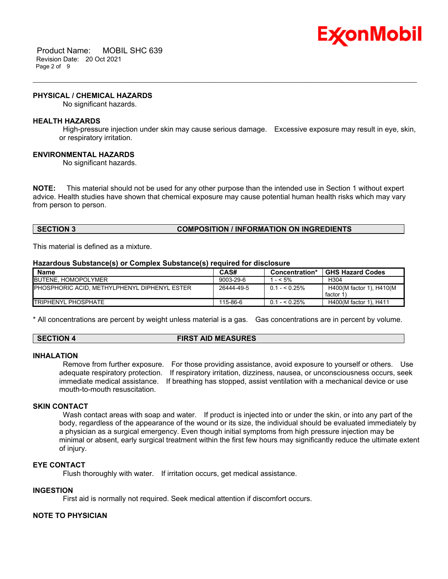

 Product Name: MOBIL SHC 639 Revision Date: 20 Oct 2021 Page 2 of 9

#### **PHYSICAL / CHEMICAL HAZARDS**

No significant hazards.

#### **HEALTH HAZARDS**

High-pressure injection under skin may cause serious damage. Excessive exposure may result in eye, skin, or respiratory irritation.

\_\_\_\_\_\_\_\_\_\_\_\_\_\_\_\_\_\_\_\_\_\_\_\_\_\_\_\_\_\_\_\_\_\_\_\_\_\_\_\_\_\_\_\_\_\_\_\_\_\_\_\_\_\_\_\_\_\_\_\_\_\_\_\_\_\_\_\_\_\_\_\_\_\_\_\_\_\_\_\_\_\_\_\_\_\_\_\_\_\_\_\_\_\_\_\_\_\_\_\_\_\_\_\_\_\_\_\_\_\_\_\_\_\_\_\_\_\_

#### **ENVIRONMENTAL HAZARDS**

No significant hazards.

**NOTE:** This material should not be used for any other purpose than the intended use in Section 1 without expert advice. Health studies have shown that chemical exposure may cause potential human health risks which may vary from person to person.

# **SECTION 3 COMPOSITION / INFORMATION ON INGREDIENTS**

This material is defined as a mixture.

#### **Hazardous Substance(s) or Complex Substance(s) required for disclosure**

| <b>Name</b>                                          | CAS#            | <b>Concentration*</b> | <b>GHS Hazard Codes</b>              |
|------------------------------------------------------|-----------------|-----------------------|--------------------------------------|
| <b>IBUTENE, HOMOPOLYMER</b>                          | $9003 - 29 - 6$ | $- < 5\%$             | H <sub>304</sub>                     |
| <b>IPHOSPHORIC ACID. METHYLPHENYL DIPHENYL ESTER</b> | 26444-49-5      | $0.1 - 5.25\%$        | H400(M factor 1), H410(M<br>factor 1 |
| <b>ITRIPHENYL PHOSPHATE</b>                          | 115-86-6        | $0.1 - 5.25\%$        | H400(M factor 1), H411               |

\* All concentrations are percent by weight unless material is a gas. Gas concentrations are in percent by volume.

| <b>SECTION 4</b> | <b>FIRST AID MEASURES</b> |
|------------------|---------------------------|
|                  |                           |

#### **INHALATION**

Remove from further exposure. For those providing assistance, avoid exposure to yourself or others. Use adequate respiratory protection. If respiratory irritation, dizziness, nausea, or unconsciousness occurs, seek immediate medical assistance. If breathing has stopped, assist ventilation with a mechanical device or use mouth-to-mouth resuscitation.

# **SKIN CONTACT**

Wash contact areas with soap and water. If product is injected into or under the skin, or into any part of the body, regardless of the appearance of the wound or its size, the individual should be evaluated immediately by a physician as a surgical emergency. Even though initial symptoms from high pressure injection may be minimal or absent, early surgical treatment within the first few hours may significantly reduce the ultimate extent of injury.

## **EYE CONTACT**

Flush thoroughly with water. If irritation occurs, get medical assistance.

# **INGESTION**

First aid is normally not required. Seek medical attention if discomfort occurs.

# **NOTE TO PHYSICIAN**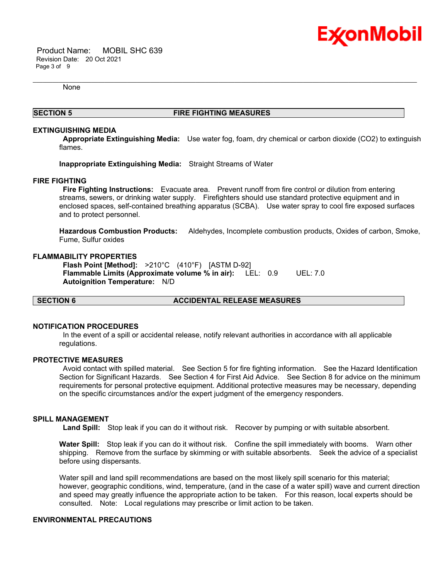

 Product Name: MOBIL SHC 639 Revision Date: 20 Oct 2021 Page 3 of 9

None

# **SECTION 5 FIRE FIGHTING MEASURES**

\_\_\_\_\_\_\_\_\_\_\_\_\_\_\_\_\_\_\_\_\_\_\_\_\_\_\_\_\_\_\_\_\_\_\_\_\_\_\_\_\_\_\_\_\_\_\_\_\_\_\_\_\_\_\_\_\_\_\_\_\_\_\_\_\_\_\_\_\_\_\_\_\_\_\_\_\_\_\_\_\_\_\_\_\_\_\_\_\_\_\_\_\_\_\_\_\_\_\_\_\_\_\_\_\_\_\_\_\_\_\_\_\_\_\_\_\_\_

## **EXTINGUISHING MEDIA**

**Appropriate Extinguishing Media:** Use water fog, foam, dry chemical or carbon dioxide (CO2) to extinguish flames.

**Inappropriate Extinguishing Media:** Straight Streams of Water

## **FIRE FIGHTING**

**Fire Fighting Instructions:** Evacuate area. Prevent runoff from fire control or dilution from entering streams, sewers, or drinking water supply. Firefighters should use standard protective equipment and in enclosed spaces, self-contained breathing apparatus (SCBA). Use water spray to cool fire exposed surfaces and to protect personnel.

**Hazardous Combustion Products:** Aldehydes, Incomplete combustion products, Oxides of carbon, Smoke, Fume, Sulfur oxides

#### **FLAMMABILITY PROPERTIES**

**Flash Point [Method]:** >210°C (410°F) [ASTM D-92] **Flammable Limits (Approximate volume % in air):** LEL: 0.9 UEL: 7.0 **Autoignition Temperature:** N/D

## **SECTION 6 ACCIDENTAL RELEASE MEASURES**

## **NOTIFICATION PROCEDURES**

In the event of a spill or accidental release, notify relevant authorities in accordance with all applicable regulations.

#### **PROTECTIVE MEASURES**

Avoid contact with spilled material. See Section 5 for fire fighting information. See the Hazard Identification Section for Significant Hazards. See Section 4 for First Aid Advice. See Section 8 for advice on the minimum requirements for personal protective equipment. Additional protective measures may be necessary, depending on the specific circumstances and/or the expert judgment of the emergency responders.

## **SPILL MANAGEMENT**

**Land Spill:** Stop leak if you can do it without risk. Recover by pumping or with suitable absorbent.

**Water Spill:** Stop leak if you can do it without risk. Confine the spill immediately with booms. Warn other shipping. Remove from the surface by skimming or with suitable absorbents. Seek the advice of a specialist before using dispersants.

Water spill and land spill recommendations are based on the most likely spill scenario for this material; however, geographic conditions, wind, temperature, (and in the case of a water spill) wave and current direction and speed may greatly influence the appropriate action to be taken. For this reason, local experts should be consulted. Note: Local regulations may prescribe or limit action to be taken.

# **ENVIRONMENTAL PRECAUTIONS**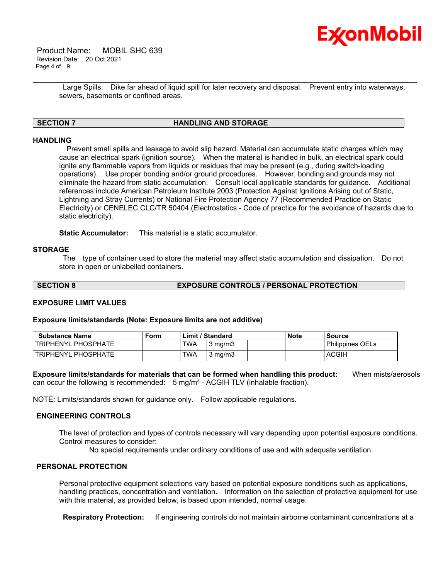

 Product Name: MOBIL SHC 639 Revision Date: 20 Oct 2021 Page 4 of 9

> Large Spills: Dike far ahead of liquid spill for later recovery and disposal. Prevent entry into waterways, sewers, basements or confined areas.

\_\_\_\_\_\_\_\_\_\_\_\_\_\_\_\_\_\_\_\_\_\_\_\_\_\_\_\_\_\_\_\_\_\_\_\_\_\_\_\_\_\_\_\_\_\_\_\_\_\_\_\_\_\_\_\_\_\_\_\_\_\_\_\_\_\_\_\_\_\_\_\_\_\_\_\_\_\_\_\_\_\_\_\_\_\_\_\_\_\_\_\_\_\_\_\_\_\_\_\_\_\_\_\_\_\_\_\_\_\_\_\_\_\_\_\_\_\_

# **SECTION 7 HANDLING AND STORAGE**

# **HANDLING**

 Prevent small spills and leakage to avoid slip hazard. Material can accumulate static charges which may cause an electrical spark (ignition source). When the material is handled in bulk, an electrical spark could ignite any flammable vapors from liquids or residues that may be present (e.g., during switch-loading operations). Use proper bonding and/or ground procedures. However, bonding and grounds may not eliminate the hazard from static accumulation. Consult local applicable standards for guidance. Additional references include American Petroleum Institute 2003 (Protection Against Ignitions Arising out of Static, Lightning and Stray Currents) or National Fire Protection Agency 77 (Recommended Practice on Static Electricity) or CENELEC CLC/TR 50404 (Electrostatics - Code of practice for the avoidance of hazards due to static electricity).

**Static Accumulator:** This material is a static accumulator.

# **STORAGE**

The type of container used to store the material may affect static accumulation and dissipation. Do not store in open or unlabelled containers.

# **SECTION 8 EXPOSURE CONTROLS / PERSONAL PROTECTION**

# **EXPOSURE LIMIT VALUES**

## **Exposure limits/standards (Note: Exposure limits are not additive)**

| <b>Substance Name</b> | Form |            | Limit / Standard | <b>Note</b> | Source                  |
|-----------------------|------|------------|------------------|-------------|-------------------------|
| TRIPHENYL PHOSPHATE   |      | <b>TWA</b> | $3 \text{ mg/m}$ |             | <b>Philippines OELs</b> |
| TRIPHENYL PHOSPHATE   |      | <b>TWA</b> | $3 \text{ mg/m}$ |             | ACGIH                   |

**Exposure limits/standards for materials that can be formed when handling this product:** When mists/aerosols can occur the following is recommended:  $5 \text{ mg/m}^3$  - ACGIH TLV (inhalable fraction).

NOTE: Limits/standards shown for guidance only. Follow applicable regulations.

# **ENGINEERING CONTROLS**

The level of protection and types of controls necessary will vary depending upon potential exposure conditions. Control measures to consider:

No special requirements under ordinary conditions of use and with adequate ventilation.

# **PERSONAL PROTECTION**

Personal protective equipment selections vary based on potential exposure conditions such as applications, handling practices, concentration and ventilation. Information on the selection of protective equipment for use with this material, as provided below, is based upon intended, normal usage.

**Respiratory Protection:** If engineering controls do not maintain airborne contaminant concentrations at a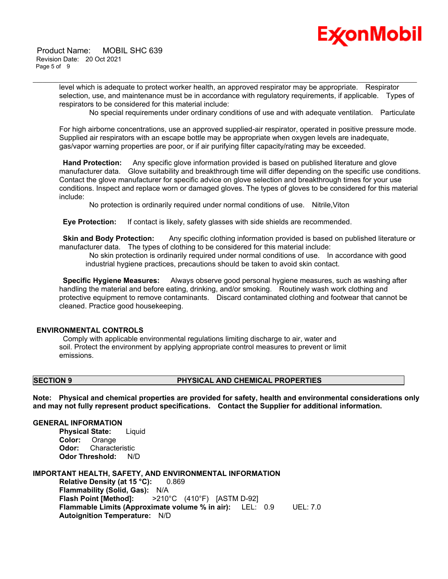

level which is adequate to protect worker health, an approved respirator may be appropriate. Respirator selection, use, and maintenance must be in accordance with regulatory requirements, if applicable. Types of respirators to be considered for this material include:

\_\_\_\_\_\_\_\_\_\_\_\_\_\_\_\_\_\_\_\_\_\_\_\_\_\_\_\_\_\_\_\_\_\_\_\_\_\_\_\_\_\_\_\_\_\_\_\_\_\_\_\_\_\_\_\_\_\_\_\_\_\_\_\_\_\_\_\_\_\_\_\_\_\_\_\_\_\_\_\_\_\_\_\_\_\_\_\_\_\_\_\_\_\_\_\_\_\_\_\_\_\_\_\_\_\_\_\_\_\_\_\_\_\_\_\_\_\_

No special requirements under ordinary conditions of use and with adequate ventilation. Particulate

For high airborne concentrations, use an approved supplied-air respirator, operated in positive pressure mode. Supplied air respirators with an escape bottle may be appropriate when oxygen levels are inadequate, gas/vapor warning properties are poor, or if air purifying filter capacity/rating may be exceeded.

**Hand Protection:** Any specific glove information provided is based on published literature and glove manufacturer data. Glove suitability and breakthrough time will differ depending on the specific use conditions. Contact the glove manufacturer for specific advice on glove selection and breakthrough times for your use conditions. Inspect and replace worn or damaged gloves. The types of gloves to be considered for this material include:

No protection is ordinarily required under normal conditions of use. Nitrile,Viton

**Eye Protection:** If contact is likely, safety glasses with side shields are recommended.

**Skin and Body Protection:** Any specific clothing information provided is based on published literature or manufacturer data. The types of clothing to be considered for this material include:

No skin protection is ordinarily required under normal conditions of use. In accordance with good industrial hygiene practices, precautions should be taken to avoid skin contact.

**Specific Hygiene Measures:** Always observe good personal hygiene measures, such as washing after handling the material and before eating, drinking, and/or smoking. Routinely wash work clothing and protective equipment to remove contaminants. Discard contaminated clothing and footwear that cannot be cleaned. Practice good housekeeping.

# **ENVIRONMENTAL CONTROLS**

Comply with applicable environmental regulations limiting discharge to air, water and soil. Protect the environment by applying appropriate control measures to prevent or limit emissions.

# **SECTION 9 PHYSICAL AND CHEMICAL PROPERTIES**

**Note: Physical and chemical properties are provided for safety, health and environmental considerations only and may not fully represent product specifications. Contact the Supplier for additional information.**

# **GENERAL INFORMATION**

**Physical State:** Liquid **Color:** Orange **Odor:** Characteristic **Odor Threshold:** N/D

**IMPORTANT HEALTH, SAFETY, AND ENVIRONMENTAL INFORMATION Relative Density (at 15 °C):** 0.869 **Flammability (Solid, Gas):** N/A

**Flash Point [Method]:** >210°C (410°F) [ASTM D-92] **Flammable Limits (Approximate volume % in air):** LEL: 0.9 UEL: 7.0 **Autoignition Temperature:** N/D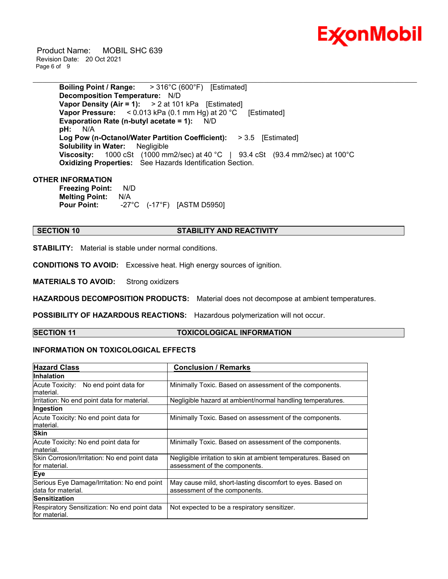

 Product Name: MOBIL SHC 639 Revision Date: 20 Oct 2021 Page 6 of 9

> **Boiling Point / Range:** > 316°C (600°F) [Estimated] **Decomposition Temperature:** N/D **Vapor Density (Air = 1):** > 2 at 101 kPa [Estimated] **Vapor Pressure:** < 0.013 kPa (0.1 mm Hg) at 20 °C [Estimated] **Evaporation Rate (n-butyl acetate = 1):** N/D **pH:** N/A **Log Pow (n-Octanol/Water Partition Coefficient):** > 3.5 [Estimated] **Solubility in Water:** Negligible **Viscosity:** 1000 cSt (1000 mm2/sec) at 40 °C | 93.4 cSt (93.4 mm2/sec) at 100 °C **Oxidizing Properties:** See Hazards Identification Section.

\_\_\_\_\_\_\_\_\_\_\_\_\_\_\_\_\_\_\_\_\_\_\_\_\_\_\_\_\_\_\_\_\_\_\_\_\_\_\_\_\_\_\_\_\_\_\_\_\_\_\_\_\_\_\_\_\_\_\_\_\_\_\_\_\_\_\_\_\_\_\_\_\_\_\_\_\_\_\_\_\_\_\_\_\_\_\_\_\_\_\_\_\_\_\_\_\_\_\_\_\_\_\_\_\_\_\_\_\_\_\_\_\_\_\_\_\_\_

# **OTHER INFORMATION**

**Freezing Point:** N/D **Melting Point:** N/A **Pour Point:** -27°C (-17°F) [ASTM D5950]

# **SECTION 10 STABILITY AND REACTIVITY**

**STABILITY:** Material is stable under normal conditions.

**CONDITIONS TO AVOID:** Excessive heat. High energy sources of ignition.

**MATERIALS TO AVOID:** Strong oxidizers

**HAZARDOUS DECOMPOSITION PRODUCTS:** Material does not decompose at ambient temperatures.

**POSSIBILITY OF HAZARDOUS REACTIONS:** Hazardous polymerization will not occur.

# **SECTION 11 TOXICOLOGICAL INFORMATION**

# **INFORMATION ON TOXICOLOGICAL EFFECTS**

| <b>Hazard Class</b>                                           | <b>Conclusion / Remarks</b>                                     |  |  |
|---------------------------------------------------------------|-----------------------------------------------------------------|--|--|
| Inhalation                                                    |                                                                 |  |  |
| Acute Toxicity: No end point data for                         | Minimally Toxic. Based on assessment of the components.         |  |  |
| lmaterial.                                                    |                                                                 |  |  |
| Irritation: No end point data for material.                   | Negligible hazard at ambient/normal handling temperatures.      |  |  |
| Ingestion                                                     |                                                                 |  |  |
| Acute Toxicity: No end point data for                         | Minimally Toxic. Based on assessment of the components.         |  |  |
| material.                                                     |                                                                 |  |  |
| <b>Skin</b>                                                   |                                                                 |  |  |
| Acute Toxicity: No end point data for                         | Minimally Toxic. Based on assessment of the components.         |  |  |
| material.                                                     |                                                                 |  |  |
| Skin Corrosion/Irritation: No end point data                  | Negligible irritation to skin at ambient temperatures. Based on |  |  |
| for material.                                                 | assessment of the components.                                   |  |  |
| Eye                                                           |                                                                 |  |  |
| Serious Eye Damage/Irritation: No end point                   | May cause mild, short-lasting discomfort to eyes. Based on      |  |  |
| data for material.                                            | assessment of the components.                                   |  |  |
| <b>Sensitization</b>                                          |                                                                 |  |  |
| Respiratory Sensitization: No end point data<br>for material. | Not expected to be a respiratory sensitizer.                    |  |  |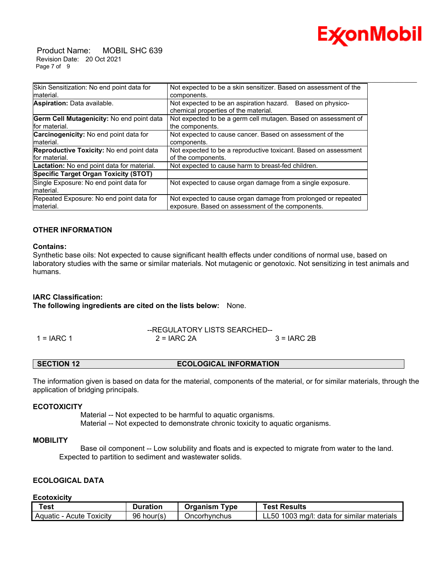

 Product Name: MOBIL SHC 639 Revision Date: 20 Oct 2021 Page 7 of 9

| Skin Sensitization: No end point data for<br>Not expected to be a skin sensitizer. Based on assessment of the<br>Imaterial.<br>components.<br>Aspiration: Data available.<br>Not expected to be an aspiration hazard.<br>Based on physico-<br>chemical properties of the material.<br>Germ Cell Mutagenicity: No end point data<br>Not expected to be a germ cell mutagen. Based on assessment of<br>for material.<br>the components.<br><b>Carcinogenicity:</b> No end point data for<br>Not expected to cause cancer. Based on assessment of the<br>material.<br>components.<br><b>Reproductive Toxicity:</b> No end point data<br>Not expected to be a reproductive toxicant. Based on assessment |
|------------------------------------------------------------------------------------------------------------------------------------------------------------------------------------------------------------------------------------------------------------------------------------------------------------------------------------------------------------------------------------------------------------------------------------------------------------------------------------------------------------------------------------------------------------------------------------------------------------------------------------------------------------------------------------------------------|
|                                                                                                                                                                                                                                                                                                                                                                                                                                                                                                                                                                                                                                                                                                      |
|                                                                                                                                                                                                                                                                                                                                                                                                                                                                                                                                                                                                                                                                                                      |
|                                                                                                                                                                                                                                                                                                                                                                                                                                                                                                                                                                                                                                                                                                      |
|                                                                                                                                                                                                                                                                                                                                                                                                                                                                                                                                                                                                                                                                                                      |
|                                                                                                                                                                                                                                                                                                                                                                                                                                                                                                                                                                                                                                                                                                      |
|                                                                                                                                                                                                                                                                                                                                                                                                                                                                                                                                                                                                                                                                                                      |
|                                                                                                                                                                                                                                                                                                                                                                                                                                                                                                                                                                                                                                                                                                      |
|                                                                                                                                                                                                                                                                                                                                                                                                                                                                                                                                                                                                                                                                                                      |
| for material.<br>of the components.                                                                                                                                                                                                                                                                                                                                                                                                                                                                                                                                                                                                                                                                  |
| Lactation: No end point data for material.<br>Not expected to cause harm to breast-fed children.                                                                                                                                                                                                                                                                                                                                                                                                                                                                                                                                                                                                     |
| Specific Target Organ Toxicity (STOT)                                                                                                                                                                                                                                                                                                                                                                                                                                                                                                                                                                                                                                                                |
| Single Exposure: No end point data for<br>Not expected to cause organ damage from a single exposure.                                                                                                                                                                                                                                                                                                                                                                                                                                                                                                                                                                                                 |
| material.                                                                                                                                                                                                                                                                                                                                                                                                                                                                                                                                                                                                                                                                                            |
| Repeated Exposure: No end point data for<br>Not expected to cause organ damage from prolonged or repeated                                                                                                                                                                                                                                                                                                                                                                                                                                                                                                                                                                                            |
| exposure. Based on assessment of the components.<br>material.                                                                                                                                                                                                                                                                                                                                                                                                                                                                                                                                                                                                                                        |

# **OTHER INFORMATION**

## **Contains:**

Synthetic base oils: Not expected to cause significant health effects under conditions of normal use, based on laboratory studies with the same or similar materials. Not mutagenic or genotoxic. Not sensitizing in test animals and humans.

## **IARC Classification:**

**The following ingredients are cited on the lists below:** None.

|              | --REGULATORY LISTS SEARCHED-- |              |
|--------------|-------------------------------|--------------|
| $1 = IARC 1$ | $2 = IARC 2A$                 | $3 = IARC2B$ |

### **SECTION 12 ECOLOGICAL INFORMATION**

The information given is based on data for the material, components of the material, or for similar materials, through the application of bridging principals.

# **ECOTOXICITY**

 Material -- Not expected to be harmful to aquatic organisms. Material -- Not expected to demonstrate chronic toxicity to aquatic organisms.

# **MOBILITY**

 Base oil component -- Low solubility and floats and is expected to migrate from water to the land. Expected to partition to sediment and wastewater solids.

# **ECOLOGICAL DATA**

**Ecotoxicity**

| Test                     | <b>Duration</b> | Organism<br>Type | Test Results                               |
|--------------------------|-----------------|------------------|--------------------------------------------|
| Aquatic - Acute Toxicity | 96 hour(s)      | Oncorhynchus     | LL50 1003 mg/l: data for similar materials |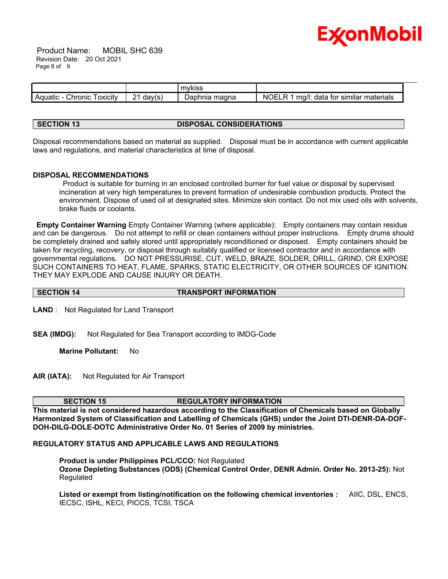

 Product Name: MOBIL SHC 639 Revision Date: 20 Oct 2021 Page 8 of 9

|                               |                         | <b>MVKISS</b>         |                                                                       |
|-------------------------------|-------------------------|-----------------------|-----------------------------------------------------------------------|
| Chronic<br>oxicity<br>Aquatic | ົ<br>dav(s)<br><u>.</u> | ⊃apr<br>magna<br>nnia | <b>NC</b><br>)F<br>D<br>data<br>materials<br>tor<br>similar<br>, ma/l |

# **SECTION 13 DISPOSAL CONSIDERATIONS**

Disposal recommendations based on material as supplied. Disposal must be in accordance with current applicable laws and regulations, and material characteristics at time of disposal.

# **DISPOSAL RECOMMENDATIONS**

Product is suitable for burning in an enclosed controlled burner for fuel value or disposal by supervised incineration at very high temperatures to prevent formation of undesirable combustion products. Protect the environment. Dispose of used oil at designated sites. Minimize skin contact. Do not mix used oils with solvents, brake fluids or coolants.

**Empty Container Warning** Empty Container Warning (where applicable): Empty containers may contain residue and can be dangerous. Do not attempt to refill or clean containers without proper instructions. Empty drums should be completely drained and safely stored until appropriately reconditioned or disposed. Empty containers should be taken for recycling, recovery, or disposal through suitably qualified or licensed contractor and in accordance with governmental regulations. DO NOT PRESSURISE, CUT, WELD, BRAZE, SOLDER, DRILL, GRIND, OR EXPOSE SUCH CONTAINERS TO HEAT, FLAME, SPARKS, STATIC ELECTRICITY, OR OTHER SOURCES OF IGNITION. THEY MAY EXPLODE AND CAUSE INJURY OR DEATH.

# **SECTION 14 TRANSPORT INFORMATION**

**LAND** : Not Regulated for Land Transport

**SEA (IMDG):** Not Regulated for Sea Transport according to IMDG-Code

**Marine Pollutant:** No

**AIR (IATA):** Not Regulated for Air Transport

**SECTION 15 REGULATORY INFORMATION**

**This material is not considered hazardous according to the Classification of Chemicals based on Globally Harmonized System of Classification and Labelling of Chemicals (GHS) under the Joint DTI-DENR-DA-DOF-DOH-DILG-DOLE-DOTC Administrative Order No. 01 Series of 2009 by ministries.**

# **REGULATORY STATUS AND APPLICABLE LAWS AND REGULATIONS**

**Product is under Philippines PCL/CCO:** Not Regulated **Ozone Depleting Substances (ODS) (Chemical Control Order, DENR Admin. Order No. 2013-25):** Not Regulated

**Listed or exempt from listing/notification on the following chemical inventories :** AIIC, DSL, ENCS, IECSC, ISHL, KECI, PICCS, TCSI, TSCA